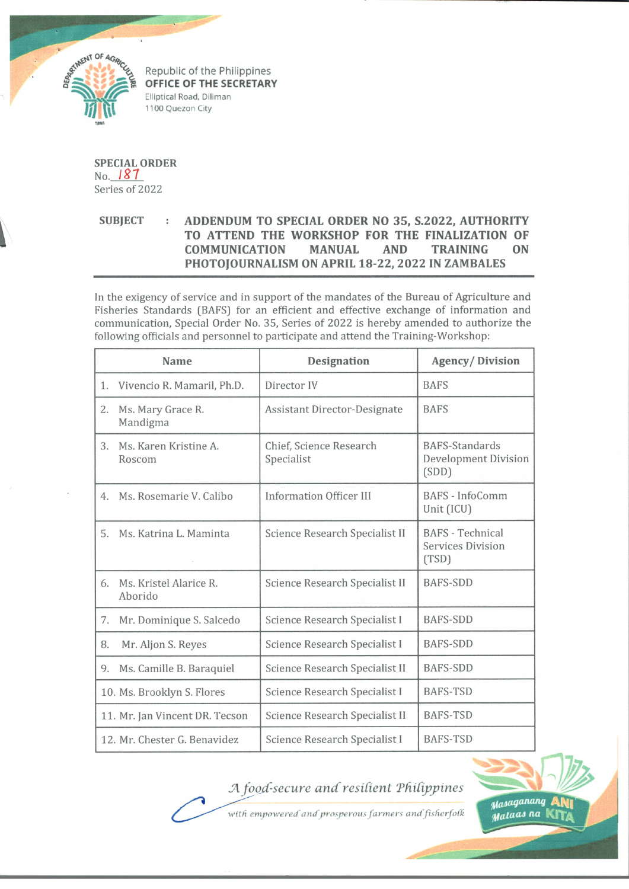

Republic of the Philippines **OFFICE OF THE SECRETARY** Elliptical Road, Diliman 1100 Quezon City

**SPECIAL ORDER**  $No.$  187 Series of 2022

## **SUBJECT : ADDENDUM TO SPECIAL ORDER NO 35, S.2022, AUTHORITY TO ATTEND THE WORKSHOP FOR THE FINALIZATION OF COMMUNICATION MANUAL AND TRAINING ON PHOTOJOURNALISM ON APRIL 18-22, 2022 IN ZAMBALES**

In the exigency of service and in support of the mandates of the Bureau of Agriculture and Fisheries Standards (BAFS) for an efficient and effective exchange of information and communication, Special Order No. 35, Series of 2022 is hereby amended to authorize the following officials and personnel to participate and attend the Training-Workshop:

| Name |                                   | Designation                           | <b>Agency/Division</b>                                       |
|------|-----------------------------------|---------------------------------------|--------------------------------------------------------------|
| 1.   | Vivencio R. Mamaril, Ph.D.        | Director IV                           | <b>BAFS</b>                                                  |
| 2.   | Ms. Mary Grace R.<br>Mandigma     | <b>Assistant Director-Designate</b>   | <b>BAFS</b>                                                  |
| 3.   | Ms. Karen Kristine A.<br>Roscom   | Chief, Science Research<br>Specialist | <b>BAFS-Standards</b><br>Development Division<br>(SDD)       |
| 4.   | Ms. Rosemarie V. Calibo           | <b>Information Officer III</b>        | BAFS - InfoComm<br>Unit (ICU)                                |
| 5.   | Ms. Katrina L. Maminta            | Science Research Specialist II        | <b>BAFS</b> - Technical<br><b>Services Division</b><br>(TSD) |
| 6.   | Ms. Kristel Alarice R.<br>Aborido | Science Research Specialist II        | <b>BAFS-SDD</b>                                              |
| 7.   | Mr. Dominique S. Salcedo          | Science Research Specialist I         | <b>BAFS-SDD</b>                                              |
| 8.   | Mr. Aljon S. Reyes                | Science Research Specialist I         | <b>BAFS-SDD</b>                                              |
| 9.   | Ms. Camille B. Baraquiel          | Science Research Specialist II        | <b>BAFS-SDD</b>                                              |
|      | 10. Ms. Brooklyn S. Flores        | Science Research Specialist I         | <b>BAFS-TSD</b>                                              |
|      | 11. Mr. Jan Vincent DR. Tecson    | Science Research Specialist II        | <b>BAFS-TSD</b>                                              |
|      | 12. Mr. Chester G. Benavidez      | Science Research Specialist I         | <b>BAFS-TSD</b>                                              |

## *A food-secure and'resilient ThiCipjjines*



with empowered and prosperous farmers and fisherfolk

Masaganang B *Mataas* na Kr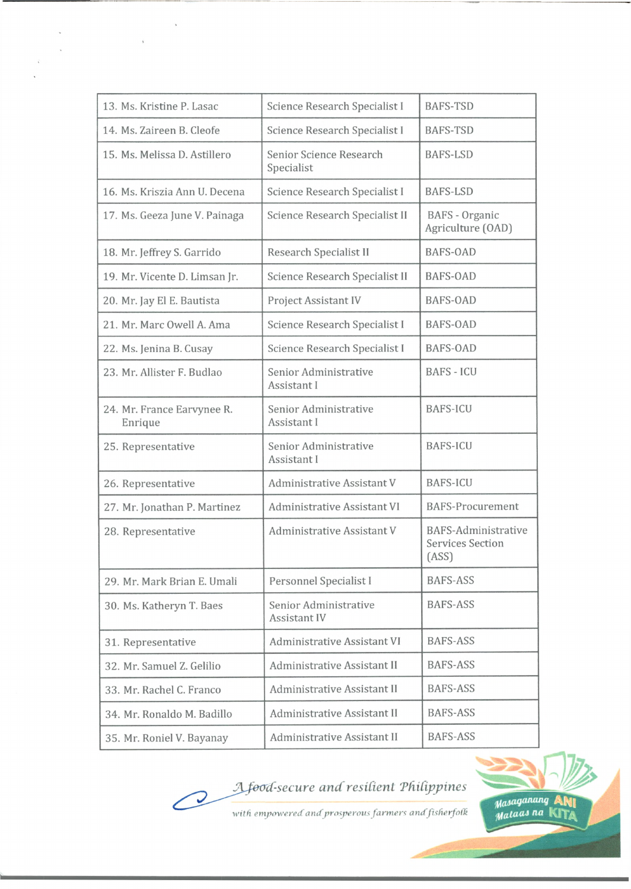| 13. Ms. Kristine P. Lasac             | Science Research Specialist I         | <b>BAFS-TSD</b>                                         |
|---------------------------------------|---------------------------------------|---------------------------------------------------------|
| 14. Ms. Zaireen B. Cleofe             | Science Research Specialist I         | <b>BAFS-TSD</b>                                         |
| 15. Ms. Melissa D. Astillero          | Senior Science Research<br>Specialist | <b>BAFS-LSD</b>                                         |
| 16. Ms. Kriszia Ann U. Decena         | Science Research Specialist I         | <b>BAFS-LSD</b>                                         |
| 17. Ms. Geeza June V. Painaga         | Science Research Specialist II        | BAFS - Organic<br>Agriculture (OAD)                     |
| 18. Mr. Jeffrey S. Garrido            | Research Specialist II                | <b>BAFS-OAD</b>                                         |
| 19. Mr. Vicente D. Limsan Jr.         | Science Research Specialist II        | <b>BAFS-OAD</b>                                         |
| 20. Mr. Jay El E. Bautista            | Project Assistant IV                  | <b>BAFS-OAD</b>                                         |
| 21. Mr. Marc Owell A. Ama             | Science Research Specialist I         | <b>BAFS-OAD</b>                                         |
| 22. Ms. Jenina B. Cusay               | Science Research Specialist I         | BAFS-OAD                                                |
| 23. Mr. Allister F. Budlao            | Senior Administrative<br>Assistant I  | <b>BAFS - ICU</b>                                       |
| 24. Mr. France Earvynee R.<br>Enrique | Senior Administrative<br>Assistant I  | <b>BAFS-ICU</b>                                         |
| 25. Representative                    | Senior Administrative<br>Assistant I  | <b>BAFS-ICU</b>                                         |
| 26. Representative                    | Administrative Assistant V            | <b>BAFS-ICU</b>                                         |
| 27. Mr. Jonathan P. Martinez          | Administrative Assistant VI           | <b>BAFS-Procurement</b>                                 |
| 28. Representative                    | Administrative Assistant V            | BAFS-Administrative<br><b>Services Section</b><br>(ASS) |
| 29. Mr. Mark Brian E. Umali           | Personnel Specialist I                | <b>BAFS-ASS</b>                                         |
| 30. Ms. Katheryn T. Baes              | Senior Administrative<br>Assistant IV | <b>BAFS-ASS</b>                                         |
| 31. Representative                    | Administrative Assistant VI           | <b>BAFS-ASS</b>                                         |
| 32. Mr. Samuel Z. Gelilio             | <b>Administrative Assistant II</b>    | <b>BAFS-ASS</b>                                         |
| 33. Mr. Rachel C. Franco              | Administrative Assistant II           | <b>BAFS-ASS</b>                                         |
| 34. Mr. Ronaldo M. Badillo            | Administrative Assistant II           | <b>BAFS-ASS</b>                                         |
| 35. Mr. Roniel V. Bayanay             | Administrative Assistant II           | <b>BAFS-ASS</b>                                         |

 $\bar{\mathbf{v}}$ 

 $\ddot{\phantom{0}}$ 

 $\ddot{\phantom{a}}$ 

 $\vec{v}$  $\ddot{\phantom{0}}$ 

## *d-securc and resident TdiCippines*

 $\oslash$ 

*with empowereif andprosperous farmers and fisfierfofk*